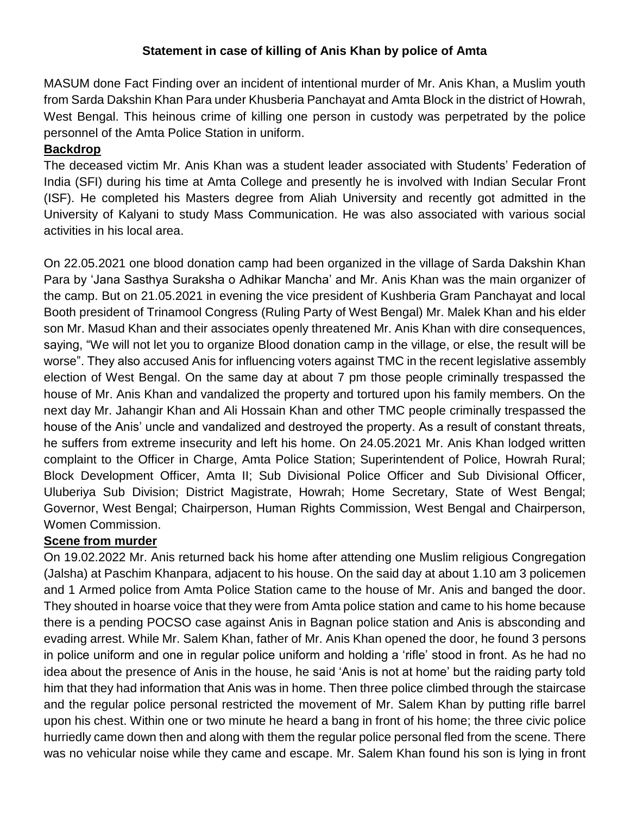#### **Statement in case of killing of Anis Khan by police of Amta**

MASUM done Fact Finding over an incident of intentional murder of Mr. Anis Khan, a Muslim youth from Sarda Dakshin Khan Para under Khusberia Panchayat and Amta Block in the district of Howrah, West Bengal. This heinous crime of killing one person in custody was perpetrated by the police personnel of the Amta Police Station in uniform.

#### **Backdrop**

The deceased victim Mr. Anis Khan was a student leader associated with Students' Federation of India (SFI) during his time at Amta College and presently he is involved with Indian Secular Front (ISF). He completed his Masters degree from Aliah University and recently got admitted in the University of Kalyani to study Mass Communication. He was also associated with various social activities in his local area.

On 22.05.2021 one blood donation camp had been organized in the village of Sarda Dakshin Khan Para by 'Jana Sasthya Suraksha o Adhikar Mancha' and Mr. Anis Khan was the main organizer of the camp. But on 21.05.2021 in evening the vice president of Kushberia Gram Panchayat and local Booth president of Trinamool Congress (Ruling Party of West Bengal) Mr. Malek Khan and his elder son Mr. Masud Khan and their associates openly threatened Mr. Anis Khan with dire consequences, saying, "We will not let you to organize Blood donation camp in the village, or else, the result will be worse". They also accused Anis for influencing voters against TMC in the recent legislative assembly election of West Bengal. On the same day at about 7 pm those people criminally trespassed the house of Mr. Anis Khan and vandalized the property and tortured upon his family members. On the next day Mr. Jahangir Khan and Ali Hossain Khan and other TMC people criminally trespassed the house of the Anis' uncle and vandalized and destroyed the property. As a result of constant threats, he suffers from extreme insecurity and left his home. On 24.05.2021 Mr. Anis Khan lodged written complaint to the Officer in Charge, Amta Police Station; Superintendent of Police, Howrah Rural; Block Development Officer, Amta II; Sub Divisional Police Officer and Sub Divisional Officer, Uluberiya Sub Division; District Magistrate, Howrah; Home Secretary, State of West Bengal; Governor, West Bengal; Chairperson, Human Rights Commission, West Bengal and Chairperson, Women Commission.

#### **Scene from murder**

On 19.02.2022 Mr. Anis returned back his home after attending one Muslim religious Congregation (Jalsha) at Paschim Khanpara, adjacent to his house. On the said day at about 1.10 am 3 policemen and 1 Armed police from Amta Police Station came to the house of Mr. Anis and banged the door. They shouted in hoarse voice that they were from Amta police station and came to his home because there is a pending POCSO case against Anis in Bagnan police station and Anis is absconding and evading arrest. While Mr. Salem Khan, father of Mr. Anis Khan opened the door, he found 3 persons in police uniform and one in regular police uniform and holding a 'rifle' stood in front. As he had no idea about the presence of Anis in the house, he said 'Anis is not at home' but the raiding party told him that they had information that Anis was in home. Then three police climbed through the staircase and the regular police personal restricted the movement of Mr. Salem Khan by putting rifle barrel upon his chest. Within one or two minute he heard a bang in front of his home; the three civic police hurriedly came down then and along with them the regular police personal fled from the scene. There was no vehicular noise while they came and escape. Mr. Salem Khan found his son is lying in front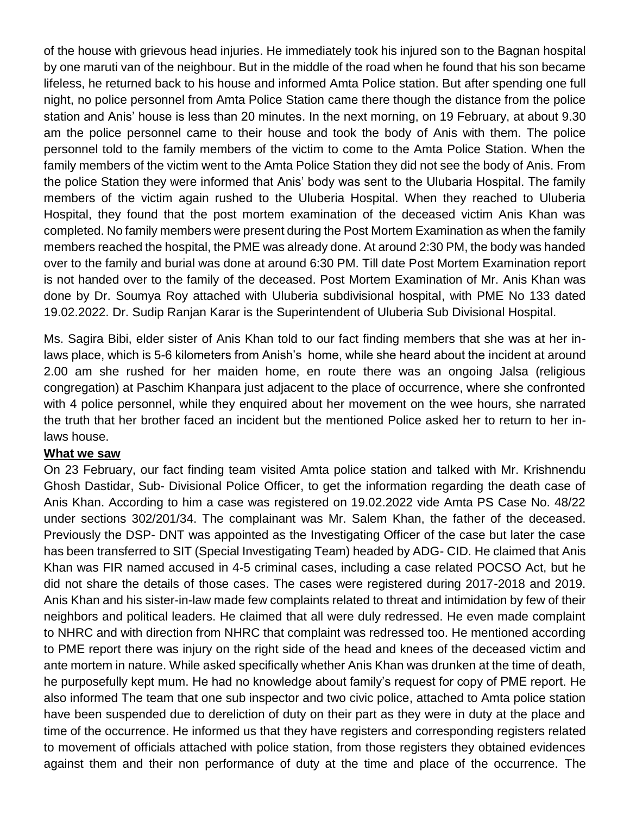of the house with grievous head injuries. He immediately took his injured son to the Bagnan hospital by one maruti van of the neighbour. But in the middle of the road when he found that his son became lifeless, he returned back to his house and informed Amta Police station. But after spending one full night, no police personnel from Amta Police Station came there though the distance from the police station and Anis' house is less than 20 minutes. In the next morning, on 19 February, at about 9.30 am the police personnel came to their house and took the body of Anis with them. The police personnel told to the family members of the victim to come to the Amta Police Station. When the family members of the victim went to the Amta Police Station they did not see the body of Anis. From the police Station they were informed that Anis' body was sent to the Ulubaria Hospital. The family members of the victim again rushed to the Uluberia Hospital. When they reached to Uluberia Hospital, they found that the post mortem examination of the deceased victim Anis Khan was completed. No family members were present during the Post Mortem Examination as when the family members reached the hospital, the PME was already done. At around 2:30 PM, the body was handed over to the family and burial was done at around 6:30 PM. Till date Post Mortem Examination report is not handed over to the family of the deceased. Post Mortem Examination of Mr. Anis Khan was done by Dr. Soumya Roy attached with Uluberia subdivisional hospital, with PME No 133 dated 19.02.2022. Dr. Sudip Ranjan Karar is the Superintendent of Uluberia Sub Divisional Hospital.

Ms. Sagira Bibi, elder sister of Anis Khan told to our fact finding members that she was at her inlaws place, which is 5-6 kilometers from Anish's home, while she heard about the incident at around 2.00 am she rushed for her maiden home, en route there was an ongoing Jalsa (religious congregation) at Paschim Khanpara just adjacent to the place of occurrence, where she confronted with 4 police personnel, while they enquired about her movement on the wee hours, she narrated the truth that her brother faced an incident but the mentioned Police asked her to return to her inlaws house.

#### **What we saw**

On 23 February, our fact finding team visited Amta police station and talked with Mr. Krishnendu Ghosh Dastidar, Sub- Divisional Police Officer, to get the information regarding the death case of Anis Khan. According to him a case was registered on 19.02.2022 vide Amta PS Case No. 48/22 under sections 302/201/34. The complainant was Mr. Salem Khan, the father of the deceased. Previously the DSP- DNT was appointed as the Investigating Officer of the case but later the case has been transferred to SIT (Special Investigating Team) headed by ADG- CID. He claimed that Anis Khan was FIR named accused in 4-5 criminal cases, including a case related POCSO Act, but he did not share the details of those cases. The cases were registered during 2017-2018 and 2019. Anis Khan and his sister-in-law made few complaints related to threat and intimidation by few of their neighbors and political leaders. He claimed that all were duly redressed. He even made complaint to NHRC and with direction from NHRC that complaint was redressed too. He mentioned according to PME report there was injury on the right side of the head and knees of the deceased victim and ante mortem in nature. While asked specifically whether Anis Khan was drunken at the time of death, he purposefully kept mum. He had no knowledge about family's request for copy of PME report. He also informed The team that one sub inspector and two civic police, attached to Amta police station have been suspended due to dereliction of duty on their part as they were in duty at the place and time of the occurrence. He informed us that they have registers and corresponding registers related to movement of officials attached with police station, from those registers they obtained evidences against them and their non performance of duty at the time and place of the occurrence. The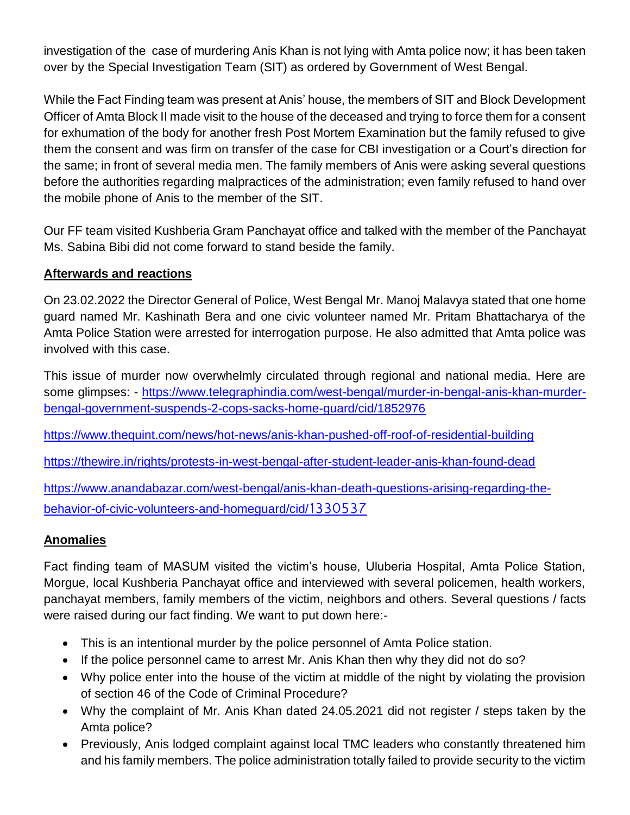investigation of the case of murdering Anis Khan is not lying with Amta police now; it has been taken over by the Special Investigation Team (SIT) as ordered by Government of West Bengal.

While the Fact Finding team was present at Anis' house, the members of SIT and Block Development Officer of Amta Block II made visit to the house of the deceased and trying to force them for a consent for exhumation of the body for another fresh Post Mortem Examination but the family refused to give them the consent and was firm on transfer of the case for CBI investigation or a Court's direction for the same; in front of several media men. The family members of Anis were asking several questions before the authorities regarding malpractices of the administration; even family refused to hand over the mobile phone of Anis to the member of the SIT.

Our FF team visited Kushberia Gram Panchayat office and talked with the member of the Panchayat Ms. Sabina Bibi did not come forward to stand beside the family.

### **Afterwards and reactions**

On 23.02.2022 the Director General of Police, West Bengal Mr. Manoj Malavya stated that one home guard named Mr. Kashinath Bera and one civic volunteer named Mr. Pritam Bhattacharya of the Amta Police Station were arrested for interrogation purpose. He also admitted that Amta police was involved with this case.

This issue of murder now overwhelmly circulated through regional and national media. Here are some glimpses: - [https://www.telegraphindia.com/west-bengal/murder-in-bengal-anis-khan-murder](https://www.telegraphindia.com/west-bengal/murder-in-bengal-anis-khan-murder-bengal-government-suspends-2-cops-sacks-home-guard/cid/1852976)[bengal-government-suspends-2-cops-sacks-home-guard/cid/1852976](https://www.telegraphindia.com/west-bengal/murder-in-bengal-anis-khan-murder-bengal-government-suspends-2-cops-sacks-home-guard/cid/1852976)

<https://www.thequint.com/news/hot-news/anis-khan-pushed-off-roof-of-residential-building>

<https://thewire.in/rights/protests-in-west-bengal-after-student-leader-anis-khan-found-dead>

[https://www.anandabazar.com/west-bengal/anis-khan-death-questions-arising-regarding-the](https://www.anandabazar.com/west-bengal/anis-khan-death-questions-arising-regarding-the-behavior-of-civic-volunteers-and-homeguard/cid/1330537)[behavior-of-civic-volunteers-and-homeguard/cid/](https://www.anandabazar.com/west-bengal/anis-khan-death-questions-arising-regarding-the-behavior-of-civic-volunteers-and-homeguard/cid/1330537)1330537

## **Anomalies**

Fact finding team of MASUM visited the victim's house, Uluberia Hospital, Amta Police Station, Morgue, local Kushberia Panchayat office and interviewed with several policemen, health workers, panchayat members, family members of the victim, neighbors and others. Several questions / facts were raised during our fact finding. We want to put down here:-

- This is an intentional murder by the police personnel of Amta Police station.
- If the police personnel came to arrest Mr. Anis Khan then why they did not do so?
- Why police enter into the house of the victim at middle of the night by violating the provision of section 46 of the Code of Criminal Procedure?
- Why the complaint of Mr. Anis Khan dated 24.05.2021 did not register / steps taken by the Amta police?
- Previously, Anis lodged complaint against local TMC leaders who constantly threatened him and his family members. The police administration totally failed to provide security to the victim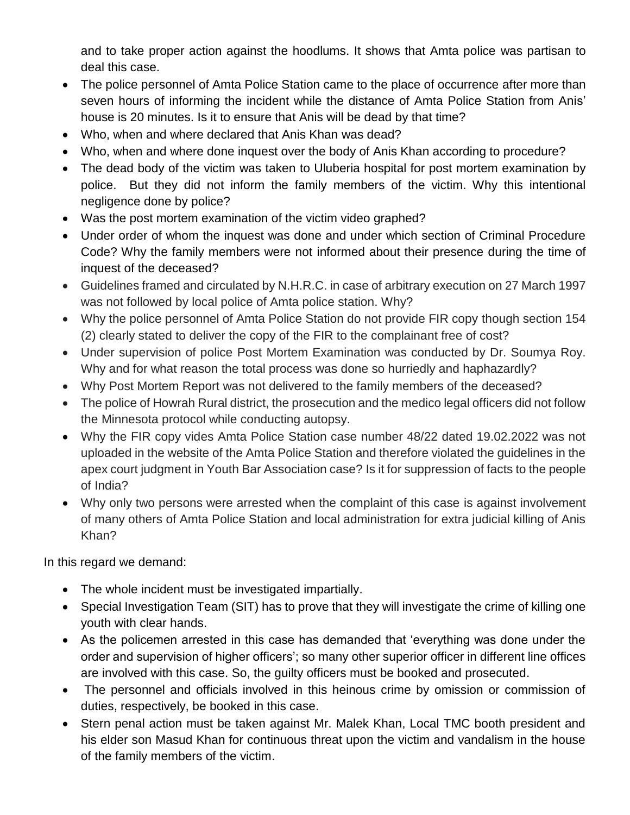and to take proper action against the hoodlums. It shows that Amta police was partisan to deal this case.

- The police personnel of Amta Police Station came to the place of occurrence after more than seven hours of informing the incident while the distance of Amta Police Station from Anis' house is 20 minutes. Is it to ensure that Anis will be dead by that time?
- Who, when and where declared that Anis Khan was dead?
- Who, when and where done inquest over the body of Anis Khan according to procedure?
- The dead body of the victim was taken to Uluberia hospital for post mortem examination by police. But they did not inform the family members of the victim. Why this intentional negligence done by police?
- Was the post mortem examination of the victim video graphed?
- Under order of whom the inquest was done and under which section of Criminal Procedure Code? Why the family members were not informed about their presence during the time of inquest of the deceased?
- Guidelines framed and circulated by N.H.R.C. in case of arbitrary execution on 27 March 1997 was not followed by local police of Amta police station. Why?
- Why the police personnel of Amta Police Station do not provide FIR copy though section 154 (2) clearly stated to deliver the copy of the FIR to the complainant free of cost?
- Under supervision of police Post Mortem Examination was conducted by Dr. Soumya Roy. Why and for what reason the total process was done so hurriedly and haphazardly?
- Why Post Mortem Report was not delivered to the family members of the deceased?
- The police of Howrah Rural district, the prosecution and the medico legal officers did not follow the Minnesota protocol while conducting autopsy.
- Why the FIR copy vides Amta Police Station case number 48/22 dated 19.02.2022 was not uploaded in the website of the Amta Police Station and therefore violated the guidelines in the apex court judgment in Youth Bar Association case? Is it for suppression of facts to the people of India?
- Why only two persons were arrested when the complaint of this case is against involvement of many others of Amta Police Station and local administration for extra judicial killing of Anis Khan?

In this regard we demand:

- The whole incident must be investigated impartially.
- Special Investigation Team (SIT) has to prove that they will investigate the crime of killing one youth with clear hands.
- As the policemen arrested in this case has demanded that 'everything was done under the order and supervision of higher officers'; so many other superior officer in different line offices are involved with this case. So, the guilty officers must be booked and prosecuted.
- The personnel and officials involved in this heinous crime by omission or commission of duties, respectively, be booked in this case.
- Stern penal action must be taken against Mr. Malek Khan, Local TMC booth president and his elder son Masud Khan for continuous threat upon the victim and vandalism in the house of the family members of the victim.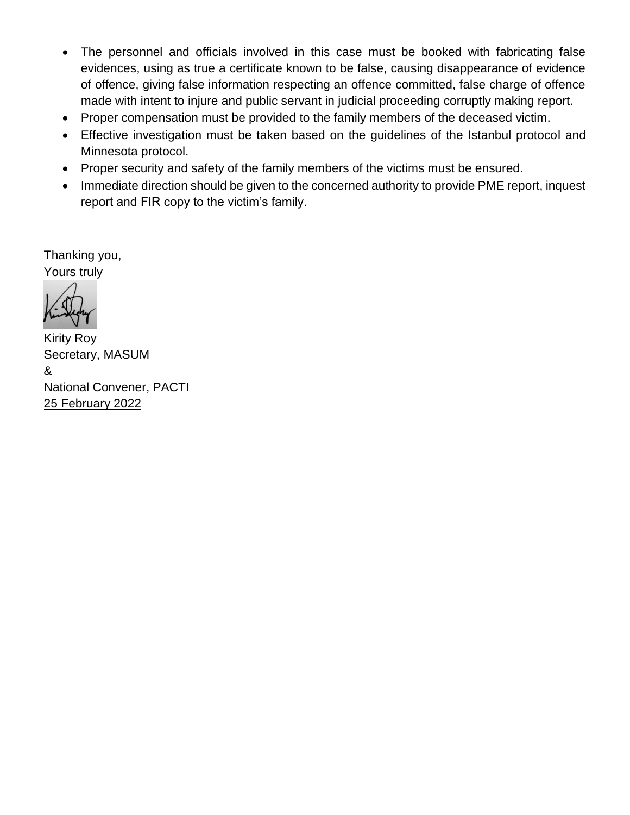- The personnel and officials involved in this case must be booked with fabricating false evidences, using as true a certificate known to be false, causing disappearance of evidence of offence, giving false information respecting an offence committed, false charge of offence made with intent to injure and public servant in judicial proceeding corruptly making report.
- Proper compensation must be provided to the family members of the deceased victim.
- Effective investigation must be taken based on the guidelines of the Istanbul protocol and Minnesota protocol.
- Proper security and safety of the family members of the victims must be ensured.
- Immediate direction should be given to the concerned authority to provide PME report, inquest report and FIR copy to the victim's family.

Thanking you,

Yours truly

Kirity Roy Secretary, MASUM & National Convener, PACTI 25 February 2022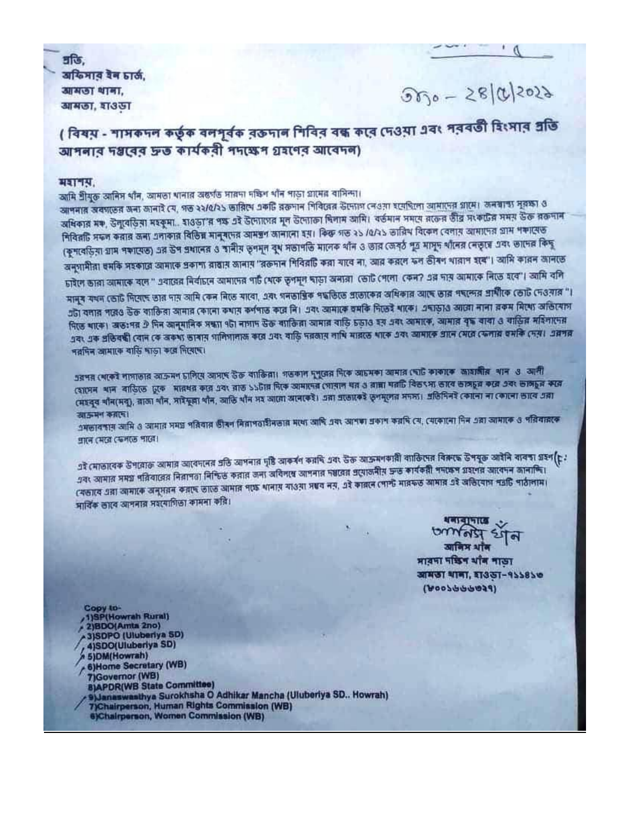$5<sup>5</sup>$ অফিসাব ইন চাৰ্জ. आमज थाना. आमजा, श3ज

 $500 - 28022$ 

# ( বিষয় - শাসকদল কৰ্তৃক বলপূৰ্বক বক্তদাল শিবিৰ বন্ধ কৰে দেওয়া এবং পৰবৰ্ত্তী হিংসাৰ প্ৰতি আপলাৰ দগ্বৰেৰ দ্ৰুত কাৰ্যকৰী পদক্ষেপ গ্ৰহণেৰ আৰেদল)

#### मशानम.

আমি শ্রীযুক্ত আলিস থান, আমতা থানার অন্তর্গত সারদা দক্ষিণ থান পাড়া প্রামের বাসিন্দা। আশনার অবগতের জন্য জানাই যে, গত ২২/৫/২১ ভারিশে একটি রক্তদান শিবিরের উদ্যোগ নেওয়া হয়েছিলো আমাদের গ্লামে। জনস্বাস্থ্য সুরক্ষা ও অধিকার মফ, উলুবেডিমা মহকুমা.. হাওডা'র পক্ষ এই উদ্যোগের মূল উদ্যোক্তা দিলাম আমি। বর্তমান সমথে রক্তের তীর সংকটের সময় উক্ত রক্তদান

শিবিরটি সদল করার জন্য এলাকার বিভিন্ন সানুষদের আমন্তুণ জানানো হয়। কিন্তু গত ২১/৫/২১ তারিখ বিকেল বেলায় আমাদের গ্রাম পঞ্চায়েত (কুশবেড়িয়া গ্রাম পঞ্চায়েত) এর উপ প্রধানের ও স্বানীয় ভূপমূল বুধ সভাপতি মালেক থান ও ভার জেষ্ঠ পুত্র মাসুদ থানের নেতৃয়ে এবং ভাদের কিছু অনুগামীরা হুমকি সহকারে আমাকে প্রকাশ্য রাস্তায় জানায় "রক্তদান শিবিরটি করা যাবে না, আর করলে ফল ভীষণ থারাণ হযে"। আমি কারন জানতে চাইলে ভারা আমাকে বলে " এবারের নির্বাচনে আমাদের পার্ট থেকে তৃণমূল ছাড়া অন্যরা ভোট পেলো কেন? এর দায় আমাকে নিডে হবে"। অমি বলি মানুষ কৰন তোট দিলেছে তার দায় আদি কেন নিডে যাবো, এবং গনভান্তিক পদ্ধতিতে প্রভোকের অধিকার আছে ভার পদন্দের প্রামীকে ভোট দেওয়ার "। এটা বলার গরেও উক্ত ব্যাক্তিরা আদার কোনো কথার কর্ণপাত করে নি। এবং আমাকে বমকি দিতেই থাকে। এবাড়াও আরো নানা রকম মিখ্যে অভিযোগ দিতে খাকে। অতঃপর ঐ দিন আনুমানিক সন্ধ্যা ৭টা নাগাদ উক্ত ব্যক্তিরা আমার বাড়ি চতাও হয় এবং আমারে, আমার বৃদ্ধ বাবা ও বাড়ির মহিলাদের এবং এক প্ৰতিবন্ধী বোদ কে অকথ্য ভাষায় গানিগালাজ করে এবং বাড়ি দরজায় লাখি মারতে থাকে এবং আমাকে প্রানে মেলে কেলার জমকি দেয়। এরগর পরদিন আমাকে বাতি দাভা করে দিয়েছে।

গুৱপন থেকেই পাগাতার আক্রমণ চালিমে আসাদ উক্ত ব্যাকিরা। গওকাল দৃশুরের দিকে আচমকা অম্যার দোট কাকাকে জাহামীর খান ও আলী হোসেন খান বাডিতে ঢুকে মারধর করে এবং রাত ১১টার দিকে আমাদের গোসাল ধর ও রায়া ঘরটি বিতৎস্য তাবে তাসচুর করে তাসচুর করে মেহবুর শান(দবু), রাজা শাঁন, সাইফুরা শাঁন, আতি শাঁন সহ আয়ো আলকেই। এরা প্রত্যেকেই তৃপমূলের সদস্য। প্রতিদিনই কোলো না কোলো ভাবে এরা खाऊमन कराण।

এমভাবস্থার আদি ও আদার সময় পরিবার তীবণ নিরাপতাহীনভার মধ্যে আদি এবং আশকা প্রকাশ করদি যে, মেকোনো দিন এরা আমাকে ও পরিবারকে प्राप्त (मद्य (फनएक भारत)

এই মোতাবেক উপযোজ আমার আবেদনের প্রতি আগনার দৃষ্টি আকর্ষণ করদি এবং উক্ত আক্রমণকারী ব্যাকিদের বিরুদ্ধে উপযুক্ত আইনি ব্যবস্থা গ্রহণ(p: এবং আমার সময় পরিবারের দিরাপতা শিশ্চিত করার জন্য অবিলম্বে আপনার দম্বরের প্রযোজনীয় দ্রুত কার্যকরী পদক্ষেপ গ্রহণের আবেদন জানান্দি। খেতাৰে এরা আদাকে অনুসরন করছে তাতে আদার পক্ষে থানায় যাওয়া সম্বয নয়, এই কারনে পোশ্ট মারফত আমার এই অভিযোগ পত্রটি পাঠালাম। সার্বিক ভাবে আগনার সহযোগিতা কামনা করি।

> সারদা দক্ষিণ থাঁৰ শাভা আনতা থালা, হাওডা-৭১১৪১৩ (Proddddorf)

opy to<br>)SP(Howrah Rural)<br>)BDO(Amta 2no) 3)SDPO (Uluberiya SD)<br>4)SDO(Uluberiya SD) 5) DM(Howrah) 6) Home Secretary (WB) (WB) **BJAPDR(WB State Committee)** Sunaswasthya Surokitsha O Adhikar Mancha (Uluberiya SD., Howrah)<br>7)Chairperson, Human Rights Commission (WB)<br>6)Chairperson, Women Commission (WB)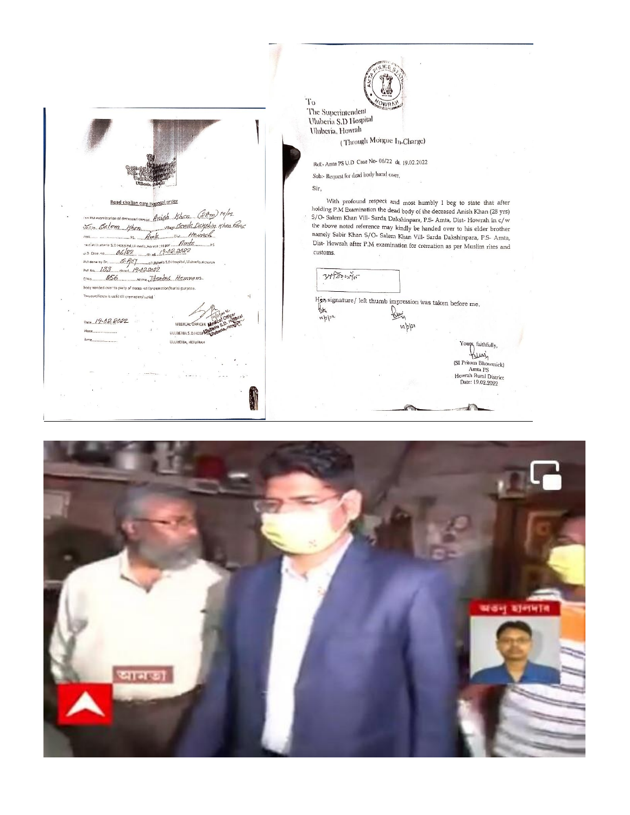$\sigma T$ The Superintendent Uluberia S.D Hospital Uluberia, Howrah (Through Morgue In-Charge) Ref: Amta PS U.D Case No- 06/22 dt, 19,02.2022 Sub:- Request for dead body hand over, Sir, With profound respect and most humbly I beg to state that after Road challan cum Disposal order Mill Providing P.M Examination the dead body of the deceased Anish Khan (28 yrs)<br>S/O- Salem Khan Vill- Sarda Dakshinpara, P.S. Amta, Dist-Howrah in c/w ine the examination of deceased names Anigh Bhan. (28m) 19/12 Siccio Selem Hhan Junge Sarda Dayahin Khan Panc the above noted reference may kindly be handed over to his elder brother es Amte Discountered namely Sabir Khan S/O- Salem Khan Vill- Sarda Dakshinpara, P.S- Amta, ,<br>Post  $\frac{1}{2}$ <br> $\frac{1}{2}$  Case no 2.0 Hospital, Ull inede, Hospital, 25, per *Amate.*<br>
3.0 Case no 26/22 Dist-Howrah after P.M examination for cremation as per Muslim rites and customs. Pre No. 133 saved 19-09-2022<br>CMo 256 saved 19-09-2022 34 PTO STAT Body nanded over to party of deceal nd for premation/burial purpose This certificate is valid till cremation/(ujrial."  $\operatorname*{Hess}$  signature/ left thumb impression was taken before me. 灶 Bui  $19/22.$ Date 19.02.2022 MEDICACOR FICER 19/2/22 ULUBERIA S.D.HOSPARY ULUBERIA, HOWRAH Yours faithfully, Keless (SI Pritom Bhowmick)<br>Amta PS<br>Howrah Rural District<br>Date:  $19.02.2022$ 

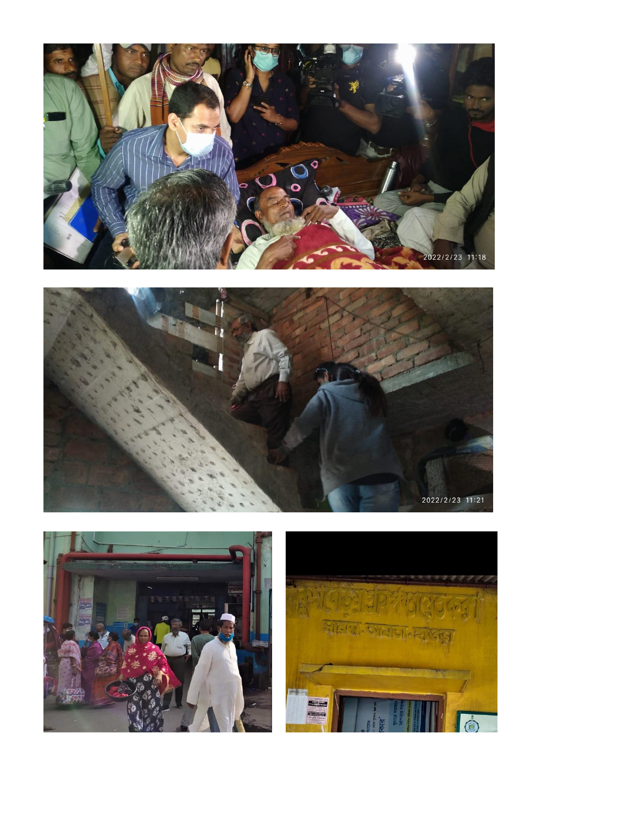